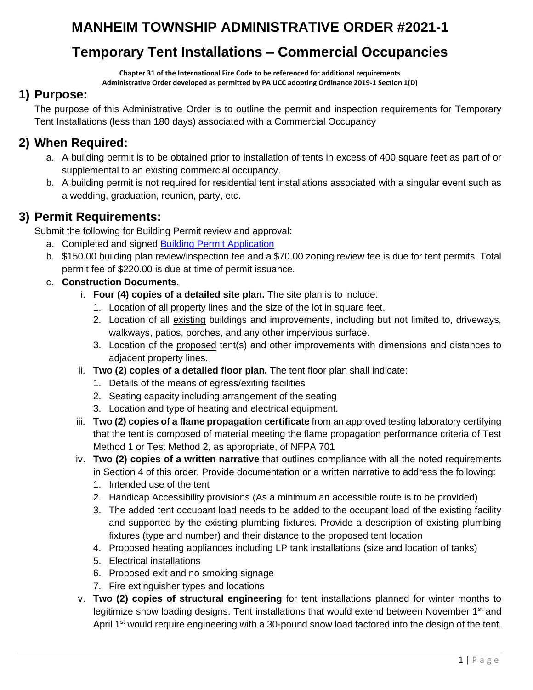# **MANHEIM TOWNSHIP ADMINISTRATIVE ORDER #2021-1**

## **Temporary Tent Installations – Commercial Occupancies**

**Chapter 31 of the International Fire Code to be referenced for additional requirements**

#### **Administrative Order developed as permitted by PA UCC adopting Ordinance 2019-1 Section 1(D)**

### **1) Purpose:**

The purpose of this Administrative Order is to outline the permit and inspection requirements for Temporary Tent Installations (less than 180 days) associated with a Commercial Occupancy

### **2) When Required:**

- a. A building permit is to be obtained prior to installation of tents in excess of 400 square feet as part of or supplemental to an existing commercial occupancy.
- b. A building permit is not required for residential tent installations associated with a singular event such as a wedding, graduation, reunion, party, etc.

### **3) Permit Requirements:**

Submit the following for Building Permit review and approval:

- a. Completed and signed **Building Permit Application**
- b. \$150.00 building plan review/inspection fee and a \$70.00 zoning review fee is due for tent permits. Total permit fee of \$220.00 is due at time of permit issuance.

### c. **Construction Documents.**

- i. **Four (4) copies of a detailed site plan.** The site plan is to include:
	- 1. Location of all property lines and the size of the lot in square feet.
	- 2. Location of all existing buildings and improvements, including but not limited to, driveways, walkways, patios, porches, and any other impervious surface.
	- 3. Location of the proposed tent(s) and other improvements with dimensions and distances to adjacent property lines.
- ii. **Two (2) copies of a detailed floor plan.** The tent floor plan shall indicate:
	- 1. Details of the means of egress/exiting facilities
	- 2. Seating capacity including arrangement of the seating
	- 3. Location and type of heating and electrical equipment.
- iii. **Two (2) copies of a flame propagation certificate** from an approved testing laboratory certifying that the tent is composed of material meeting the flame propagation performance criteria of Test Method 1 or Test Method 2, as appropriate, of NFPA 701
- iv. **Two (2) copies of a written narrative** that outlines compliance with all the noted requirements in Section 4 of this order. Provide documentation or a written narrative to address the following:
	- 1. Intended use of the tent
	- 2. Handicap Accessibility provisions (As a minimum an accessible route is to be provided)
	- 3. The added tent occupant load needs to be added to the occupant load of the existing facility and supported by the existing plumbing fixtures. Provide a description of existing plumbing fixtures (type and number) and their distance to the proposed tent location
	- 4. Proposed heating appliances including LP tank installations (size and location of tanks)
	- 5. Electrical installations
	- 6. Proposed exit and no smoking signage
	- 7. Fire extinguisher types and locations
- v. **Two (2) copies of structural engineering** for tent installations planned for winter months to legitimize snow loading designs. Tent installations that would extend between November 1<sup>st</sup> and April 1<sup>st</sup> would require engineering with a 30-pound snow load factored into the design of the tent.